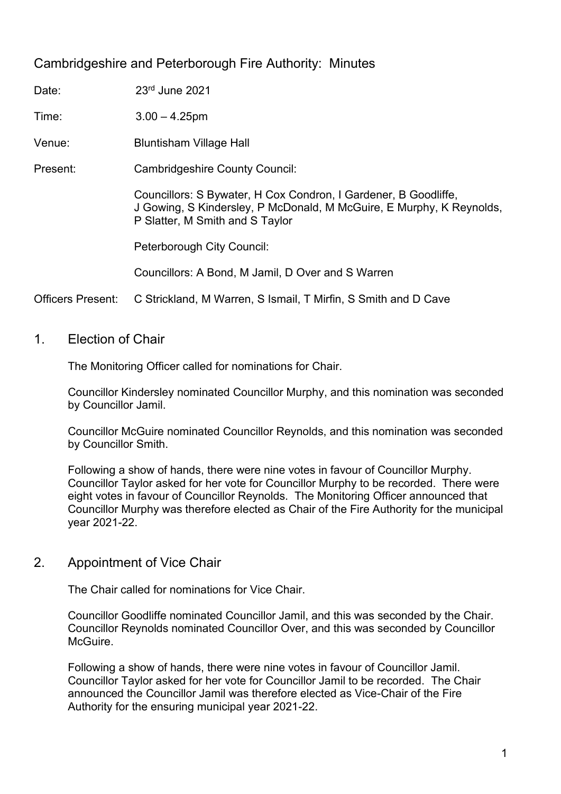# Cambridgeshire and Peterborough Fire Authority: Minutes

| Time:                    | $3.00 - 4.25$ pm                                                                                                                                                           |
|--------------------------|----------------------------------------------------------------------------------------------------------------------------------------------------------------------------|
| Venue:                   | <b>Bluntisham Village Hall</b>                                                                                                                                             |
| Present:                 | <b>Cambridgeshire County Council:</b>                                                                                                                                      |
|                          | Councillors: S Bywater, H Cox Condron, I Gardener, B Goodliffe,<br>J Gowing, S Kindersley, P McDonald, M McGuire, E Murphy, K Reynolds,<br>P Slatter, M Smith and S Taylor |
|                          | Peterborough City Council:                                                                                                                                                 |
|                          | Councillors: A Bond, M Jamil, D Over and S Warren                                                                                                                          |
| <b>Officers Present:</b> | C Strickland, M Warren, S Ismail, T Mirfin, S Smith and D Cave                                                                                                             |

1. Election of Chair

Date: 23<sup>rd</sup> June 2021

The Monitoring Officer called for nominations for Chair.

Councillor Kindersley nominated Councillor Murphy, and this nomination was seconded by Councillor Jamil.

Councillor McGuire nominated Councillor Reynolds, and this nomination was seconded by Councillor Smith.

Following a show of hands, there were nine votes in favour of Councillor Murphy. Councillor Taylor asked for her vote for Councillor Murphy to be recorded. There were eight votes in favour of Councillor Reynolds. The Monitoring Officer announced that Councillor Murphy was therefore elected as Chair of the Fire Authority for the municipal year 2021-22.

## 2. Appointment of Vice Chair

The Chair called for nominations for Vice Chair.

Councillor Goodliffe nominated Councillor Jamil, and this was seconded by the Chair. Councillor Reynolds nominated Councillor Over, and this was seconded by Councillor McGuire.

Following a show of hands, there were nine votes in favour of Councillor Jamil. Councillor Taylor asked for her vote for Councillor Jamil to be recorded. The Chair announced the Councillor Jamil was therefore elected as Vice-Chair of the Fire Authority for the ensuring municipal year 2021-22.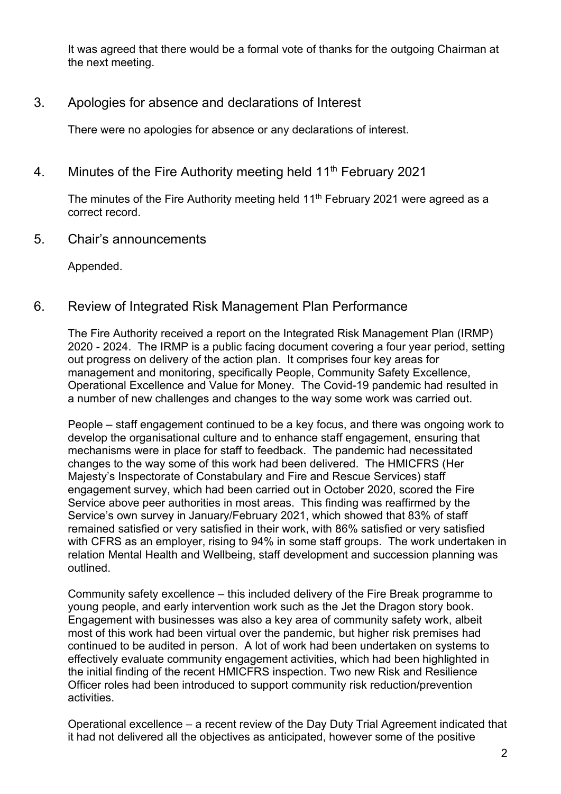It was agreed that there would be a formal vote of thanks for the outgoing Chairman at the next meeting.

## 3. Apologies for absence and declarations of Interest

There were no apologies for absence or any declarations of interest.

4. Minutes of the Fire Authority meeting held 11<sup>th</sup> February 2021

The minutes of the Fire Authority meeting held  $11<sup>th</sup>$  February 2021 were agreed as a correct record.

5. Chair's announcements

Appended.

## 6. Review of Integrated Risk Management Plan Performance

The Fire Authority received a report on the Integrated Risk Management Plan (IRMP) 2020 - 2024. The IRMP is a public facing document covering a four year period, setting out progress on delivery of the action plan. It comprises four key areas for management and monitoring, specifically People, Community Safety Excellence, Operational Excellence and Value for Money. The Covid-19 pandemic had resulted in a number of new challenges and changes to the way some work was carried out.

People – staff engagement continued to be a key focus, and there was ongoing work to develop the organisational culture and to enhance staff engagement, ensuring that mechanisms were in place for staff to feedback. The pandemic had necessitated changes to the way some of this work had been delivered. The HMICFRS (Her Majesty's Inspectorate of Constabulary and Fire and Rescue Services) staff engagement survey, which had been carried out in October 2020, scored the Fire Service above peer authorities in most areas. This finding was reaffirmed by the Service's own survey in January/February 2021, which showed that 83% of staff remained satisfied or very satisfied in their work, with 86% satisfied or very satisfied with CFRS as an employer, rising to 94% in some staff groups. The work undertaken in relation Mental Health and Wellbeing, staff development and succession planning was outlined.

Community safety excellence – this included delivery of the Fire Break programme to young people, and early intervention work such as the Jet the Dragon story book. Engagement with businesses was also a key area of community safety work, albeit most of this work had been virtual over the pandemic, but higher risk premises had continued to be audited in person. A lot of work had been undertaken on systems to effectively evaluate community engagement activities, which had been highlighted in the initial finding of the recent HMICFRS inspection. Two new Risk and Resilience Officer roles had been introduced to support community risk reduction/prevention activities.

Operational excellence – a recent review of the Day Duty Trial Agreement indicated that it had not delivered all the objectives as anticipated, however some of the positive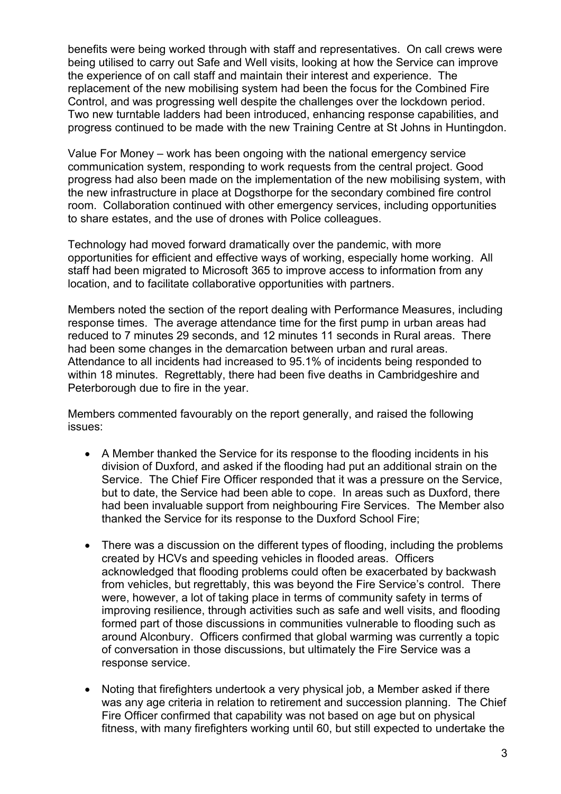benefits were being worked through with staff and representatives. On call crews were being utilised to carry out Safe and Well visits, looking at how the Service can improve the experience of on call staff and maintain their interest and experience. The replacement of the new mobilising system had been the focus for the Combined Fire Control, and was progressing well despite the challenges over the lockdown period. Two new turntable ladders had been introduced, enhancing response capabilities, and progress continued to be made with the new Training Centre at St Johns in Huntingdon.

Value For Money – work has been ongoing with the national emergency service communication system, responding to work requests from the central project. Good progress had also been made on the implementation of the new mobilising system, with the new infrastructure in place at Dogsthorpe for the secondary combined fire control room. Collaboration continued with other emergency services, including opportunities to share estates, and the use of drones with Police colleagues.

Technology had moved forward dramatically over the pandemic, with more opportunities for efficient and effective ways of working, especially home working. All staff had been migrated to Microsoft 365 to improve access to information from any location, and to facilitate collaborative opportunities with partners.

Members noted the section of the report dealing with Performance Measures, including response times. The average attendance time for the first pump in urban areas had reduced to 7 minutes 29 seconds, and 12 minutes 11 seconds in Rural areas. There had been some changes in the demarcation between urban and rural areas. Attendance to all incidents had increased to 95.1% of incidents being responded to within 18 minutes. Regrettably, there had been five deaths in Cambridgeshire and Peterborough due to fire in the year.

Members commented favourably on the report generally, and raised the following issues:

- A Member thanked the Service for its response to the flooding incidents in his division of Duxford, and asked if the flooding had put an additional strain on the Service. The Chief Fire Officer responded that it was a pressure on the Service, but to date, the Service had been able to cope. In areas such as Duxford, there had been invaluable support from neighbouring Fire Services. The Member also thanked the Service for its response to the Duxford School Fire;
- There was a discussion on the different types of flooding, including the problems created by HCVs and speeding vehicles in flooded areas. Officers acknowledged that flooding problems could often be exacerbated by backwash from vehicles, but regrettably, this was beyond the Fire Service's control. There were, however, a lot of taking place in terms of community safety in terms of improving resilience, through activities such as safe and well visits, and flooding formed part of those discussions in communities vulnerable to flooding such as around Alconbury. Officers confirmed that global warming was currently a topic of conversation in those discussions, but ultimately the Fire Service was a response service.
- Noting that firefighters undertook a very physical job, a Member asked if there was any age criteria in relation to retirement and succession planning. The Chief Fire Officer confirmed that capability was not based on age but on physical fitness, with many firefighters working until 60, but still expected to undertake the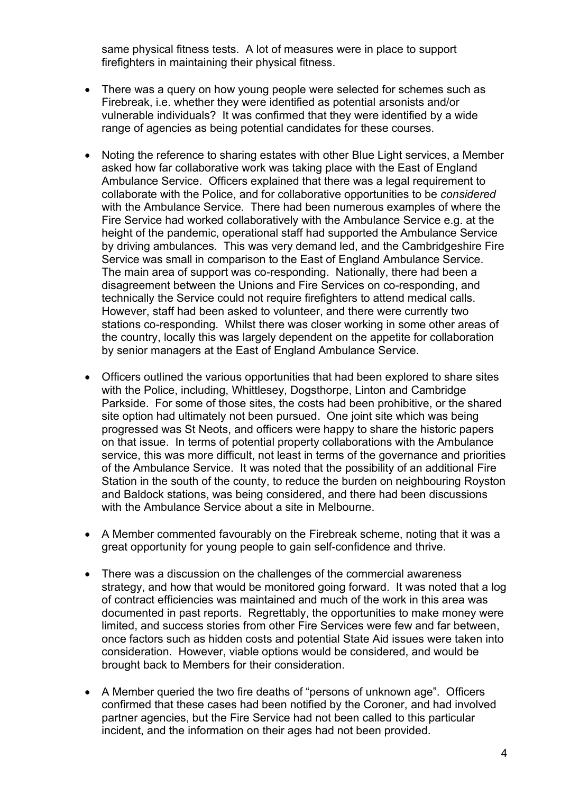same physical fitness tests. A lot of measures were in place to support firefighters in maintaining their physical fitness.

- There was a query on how young people were selected for schemes such as Firebreak, i.e. whether they were identified as potential arsonists and/or vulnerable individuals? It was confirmed that they were identified by a wide range of agencies as being potential candidates for these courses.
- Noting the reference to sharing estates with other Blue Light services, a Member asked how far collaborative work was taking place with the East of England Ambulance Service. Officers explained that there was a legal requirement to collaborate with the Police, and for collaborative opportunities to be *considered* with the Ambulance Service. There had been numerous examples of where the Fire Service had worked collaboratively with the Ambulance Service e.g. at the height of the pandemic, operational staff had supported the Ambulance Service by driving ambulances. This was very demand led, and the Cambridgeshire Fire Service was small in comparison to the East of England Ambulance Service. The main area of support was co-responding. Nationally, there had been a disagreement between the Unions and Fire Services on co-responding, and technically the Service could not require firefighters to attend medical calls. However, staff had been asked to volunteer, and there were currently two stations co-responding. Whilst there was closer working in some other areas of the country, locally this was largely dependent on the appetite for collaboration by senior managers at the East of England Ambulance Service.
- Officers outlined the various opportunities that had been explored to share sites with the Police, including, Whittlesey, Dogsthorpe, Linton and Cambridge Parkside. For some of those sites, the costs had been prohibitive, or the shared site option had ultimately not been pursued. One joint site which was being progressed was St Neots, and officers were happy to share the historic papers on that issue. In terms of potential property collaborations with the Ambulance service, this was more difficult, not least in terms of the governance and priorities of the Ambulance Service. It was noted that the possibility of an additional Fire Station in the south of the county, to reduce the burden on neighbouring Royston and Baldock stations, was being considered, and there had been discussions with the Ambulance Service about a site in Melbourne.
- A Member commented favourably on the Firebreak scheme, noting that it was a great opportunity for young people to gain self-confidence and thrive.
- There was a discussion on the challenges of the commercial awareness strategy, and how that would be monitored going forward. It was noted that a log of contract efficiencies was maintained and much of the work in this area was documented in past reports. Regrettably, the opportunities to make money were limited, and success stories from other Fire Services were few and far between, once factors such as hidden costs and potential State Aid issues were taken into consideration. However, viable options would be considered, and would be brought back to Members for their consideration.
- A Member queried the two fire deaths of "persons of unknown age". Officers confirmed that these cases had been notified by the Coroner, and had involved partner agencies, but the Fire Service had not been called to this particular incident, and the information on their ages had not been provided.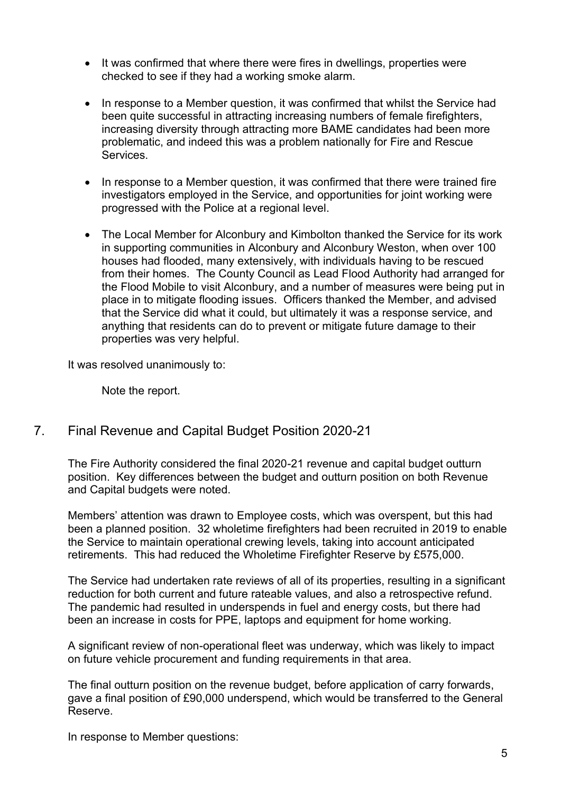- It was confirmed that where there were fires in dwellings, properties were checked to see if they had a working smoke alarm.
- In response to a Member question, it was confirmed that whilst the Service had been quite successful in attracting increasing numbers of female firefighters, increasing diversity through attracting more BAME candidates had been more problematic, and indeed this was a problem nationally for Fire and Rescue Services.
- In response to a Member question, it was confirmed that there were trained fire investigators employed in the Service, and opportunities for joint working were progressed with the Police at a regional level.
- The Local Member for Alconbury and Kimbolton thanked the Service for its work in supporting communities in Alconbury and Alconbury Weston, when over 100 houses had flooded, many extensively, with individuals having to be rescued from their homes. The County Council as Lead Flood Authority had arranged for the Flood Mobile to visit Alconbury, and a number of measures were being put in place in to mitigate flooding issues. Officers thanked the Member, and advised that the Service did what it could, but ultimately it was a response service, and anything that residents can do to prevent or mitigate future damage to their properties was very helpful.

It was resolved unanimously to:

Note the report.

## 7. Final Revenue and Capital Budget Position 2020-21

The Fire Authority considered the final 2020-21 revenue and capital budget outturn position. Key differences between the budget and outturn position on both Revenue and Capital budgets were noted.

Members' attention was drawn to Employee costs, which was overspent, but this had been a planned position. 32 wholetime firefighters had been recruited in 2019 to enable the Service to maintain operational crewing levels, taking into account anticipated retirements. This had reduced the Wholetime Firefighter Reserve by £575,000.

The Service had undertaken rate reviews of all of its properties, resulting in a significant reduction for both current and future rateable values, and also a retrospective refund. The pandemic had resulted in underspends in fuel and energy costs, but there had been an increase in costs for PPE, laptops and equipment for home working.

A significant review of non-operational fleet was underway, which was likely to impact on future vehicle procurement and funding requirements in that area.

The final outturn position on the revenue budget, before application of carry forwards, gave a final position of £90,000 underspend, which would be transferred to the General Reserve.

In response to Member questions: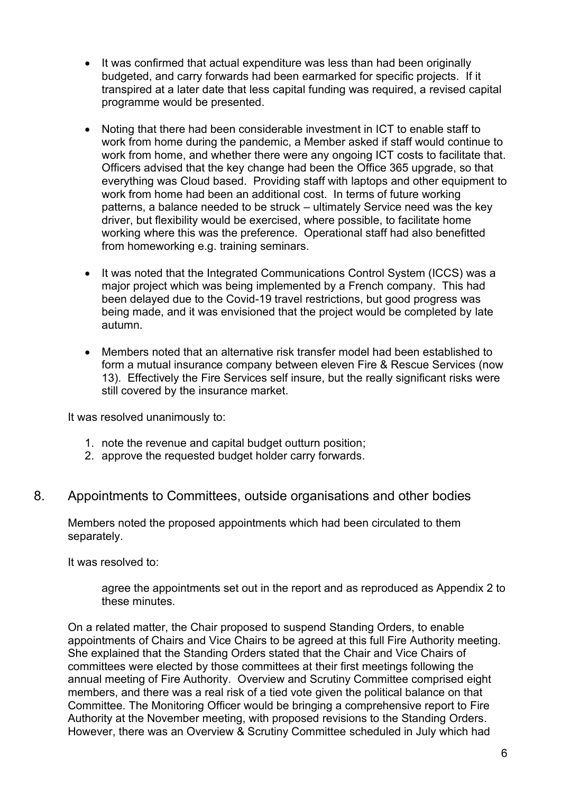- It was confirmed that actual expenditure was less than had been originally budgeted, and carry forwards had been earmarked for specific projects. If it transpired at a later date that less capital funding was required, a revised capital programme would be presented.
- Noting that there had been considerable investment in ICT to enable staff to work from home during the pandemic, a Member asked if staff would continue to work from home, and whether there were any ongoing ICT costs to facilitate that. Officers advised that the key change had been the Office 365 upgrade, so that everything was Cloud based. Providing staff with laptops and other equipment to work from home had been an additional cost. In terms of future working patterns, a balance needed to be struck – ultimately Service need was the key driver, but flexibility would be exercised, where possible, to facilitate home working where this was the preference. Operational staff had also benefitted from homeworking e.g. training seminars.
- It was noted that the Integrated Communications Control System (ICCS) was a major project which was being implemented by a French company. This had been delayed due to the Covid-19 travel restrictions, but good progress was being made, and it was envisioned that the project would be completed by late autumn.
- Members noted that an alternative risk transfer model had been established to form a mutual insurance company between eleven Fire & Rescue Services (now 13). Effectively the Fire Services self insure, but the really significant risks were still covered by the insurance market.

It was resolved unanimously to:

- 1. note the revenue and capital budget outturn position;
- 2. approve the requested budget holder carry forwards.

#### 8. Appointments to Committees, outside organisations and other bodies

Members noted the proposed appointments which had been circulated to them separately.

It was resolved to:

agree the appointments set out in the report and as reproduced as Appendix 2 to these minutes.

On a related matter, the Chair proposed to suspend Standing Orders, to enable appointments of Chairs and Vice Chairs to be agreed at this full Fire Authority meeting. She explained that the Standing Orders stated that the Chair and Vice Chairs of committees were elected by those committees at their first meetings following the annual meeting of Fire Authority. Overview and Scrutiny Committee comprised eight members, and there was a real risk of a tied vote given the political balance on that Committee. The Monitoring Officer would be bringing a comprehensive report to Fire Authority at the November meeting, with proposed revisions to the Standing Orders. However, there was an Overview & Scrutiny Committee scheduled in July which had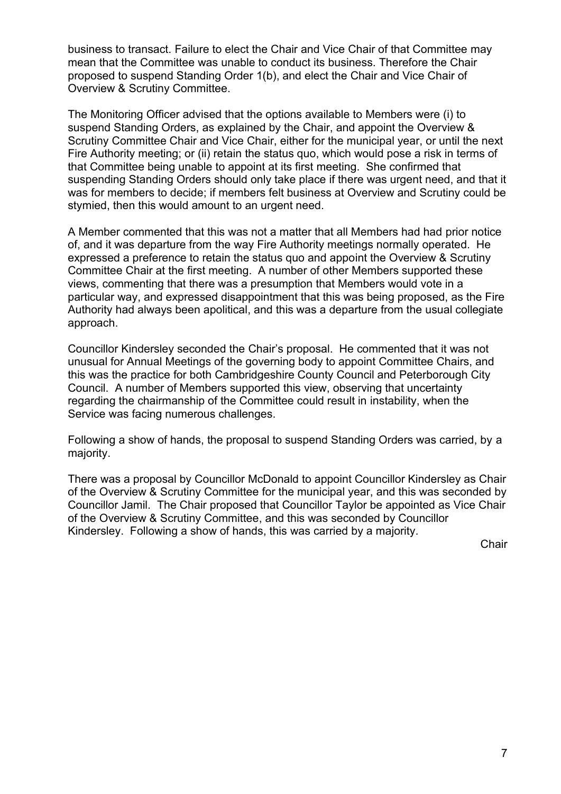business to transact. Failure to elect the Chair and Vice Chair of that Committee may mean that the Committee was unable to conduct its business. Therefore the Chair proposed to suspend Standing Order 1(b), and elect the Chair and Vice Chair of Overview & Scrutiny Committee.

The Monitoring Officer advised that the options available to Members were (i) to suspend Standing Orders, as explained by the Chair, and appoint the Overview & Scrutiny Committee Chair and Vice Chair, either for the municipal year, or until the next Fire Authority meeting; or (ii) retain the status quo, which would pose a risk in terms of that Committee being unable to appoint at its first meeting. She confirmed that suspending Standing Orders should only take place if there was urgent need, and that it was for members to decide; if members felt business at Overview and Scrutiny could be stymied, then this would amount to an urgent need.

A Member commented that this was not a matter that all Members had had prior notice of, and it was departure from the way Fire Authority meetings normally operated. He expressed a preference to retain the status quo and appoint the Overview & Scrutiny Committee Chair at the first meeting. A number of other Members supported these views, commenting that there was a presumption that Members would vote in a particular way, and expressed disappointment that this was being proposed, as the Fire Authority had always been apolitical, and this was a departure from the usual collegiate approach.

Councillor Kindersley seconded the Chair's proposal. He commented that it was not unusual for Annual Meetings of the governing body to appoint Committee Chairs, and this was the practice for both Cambridgeshire County Council and Peterborough City Council. A number of Members supported this view, observing that uncertainty regarding the chairmanship of the Committee could result in instability, when the Service was facing numerous challenges.

Following a show of hands, the proposal to suspend Standing Orders was carried, by a majority.

There was a proposal by Councillor McDonald to appoint Councillor Kindersley as Chair of the Overview & Scrutiny Committee for the municipal year, and this was seconded by Councillor Jamil. The Chair proposed that Councillor Taylor be appointed as Vice Chair of the Overview & Scrutiny Committee, and this was seconded by Councillor Kindersley. Following a show of hands, this was carried by a majority.

**Chair**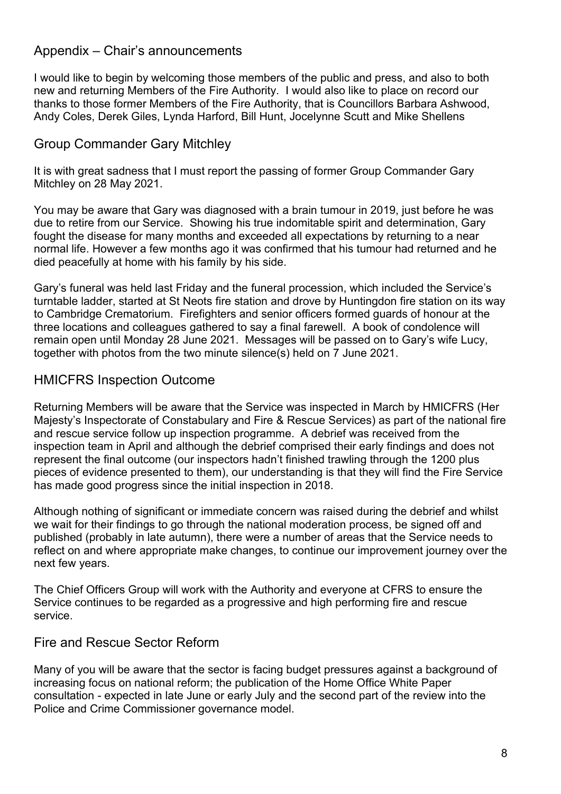## Appendix – Chair's announcements

I would like to begin by welcoming those members of the public and press, and also to both new and returning Members of the Fire Authority. I would also like to place on record our thanks to those former Members of the Fire Authority, that is Councillors Barbara Ashwood, Andy Coles, Derek Giles, Lynda Harford, Bill Hunt, Jocelynne Scutt and Mike Shellens

# Group Commander Gary Mitchley

It is with great sadness that I must report the passing of former Group Commander Gary Mitchley on 28 May 2021.

You may be aware that Gary was diagnosed with a brain tumour in 2019, just before he was due to retire from our Service. Showing his true indomitable spirit and determination, Gary fought the disease for many months and exceeded all expectations by returning to a near normal life. However a few months ago it was confirmed that his tumour had returned and he died peacefully at home with his family by his side.

Gary's funeral was held last Friday and the funeral procession, which included the Service's turntable ladder, started at St Neots fire station and drove by Huntingdon fire station on its way to Cambridge Crematorium. Firefighters and senior officers formed guards of honour at the three locations and colleagues gathered to say a final farewell. A book of condolence will remain open until Monday 28 June 2021. Messages will be passed on to Gary's wife Lucy, together with photos from the two minute silence(s) held on 7 June 2021.

## HMICFRS Inspection Outcome

Returning Members will be aware that the Service was inspected in March by HMICFRS (Her Majesty's Inspectorate of Constabulary and Fire & Rescue Services) as part of the national fire and rescue service follow up inspection programme. A debrief was received from the inspection team in April and although the debrief comprised their early findings and does not represent the final outcome (our inspectors hadn't finished trawling through the 1200 plus pieces of evidence presented to them), our understanding is that they will find the Fire Service has made good progress since the initial inspection in 2018.

Although nothing of significant or immediate concern was raised during the debrief and whilst we wait for their findings to go through the national moderation process, be signed off and published (probably in late autumn), there were a number of areas that the Service needs to reflect on and where appropriate make changes, to continue our improvement journey over the next few years.

The Chief Officers Group will work with the Authority and everyone at CFRS to ensure the Service continues to be regarded as a progressive and high performing fire and rescue service.

## Fire and Rescue Sector Reform

Many of you will be aware that the sector is facing budget pressures against a background of increasing focus on national reform; the publication of the Home Office White Paper consultation - expected in late June or early July and the second part of the review into the Police and Crime Commissioner governance model.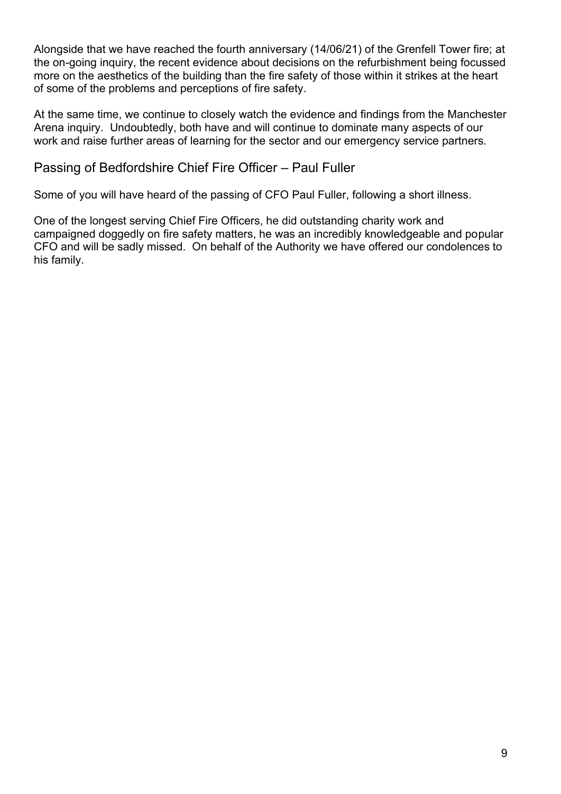Alongside that we have reached the fourth anniversary (14/06/21) of the Grenfell Tower fire; at the on-going inquiry, the recent evidence about decisions on the refurbishment being focussed more on the aesthetics of the building than the fire safety of those within it strikes at the heart of some of the problems and perceptions of fire safety.

At the same time, we continue to closely watch the evidence and findings from the Manchester Arena inquiry. Undoubtedly, both have and will continue to dominate many aspects of our work and raise further areas of learning for the sector and our emergency service partners.

## Passing of Bedfordshire Chief Fire Officer – Paul Fuller

Some of you will have heard of the passing of CFO Paul Fuller, following a short illness.

One of the longest serving Chief Fire Officers, he did outstanding charity work and campaigned doggedly on fire safety matters, he was an incredibly knowledgeable and popular CFO and will be sadly missed. On behalf of the Authority we have offered our condolences to his family.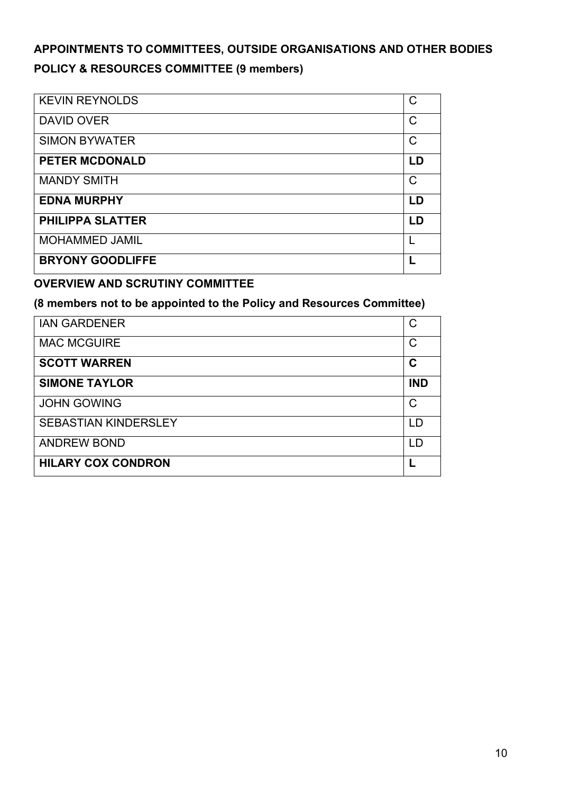# **APPOINTMENTS TO COMMITTEES, OUTSIDE ORGANISATIONS AND OTHER BODIES POLICY & RESOURCES COMMITTEE (9 members)**

| <b>KEVIN REYNOLDS</b>   | C            |
|-------------------------|--------------|
| <b>DAVID OVER</b>       | C            |
| <b>SIMON BYWATER</b>    | $\mathsf C$  |
| <b>PETER MCDONALD</b>   | LD           |
| <b>MANDY SMITH</b>      | $\mathsf{C}$ |
| <b>EDNA MURPHY</b>      | LD           |
| <b>PHILIPPA SLATTER</b> | LD           |
| <b>MOHAMMED JAMIL</b>   |              |
| <b>BRYONY GOODLIFFE</b> |              |

#### **OVERVIEW AND SCRUTINY COMMITTEE**

#### **(8 members not to be appointed to the Policy and Resources Committee)**

| <b>IAN GARDENER</b>         | C          |
|-----------------------------|------------|
| <b>MAC MCGUIRE</b>          | С          |
| <b>SCOTT WARREN</b>         | C          |
| <b>SIMONE TAYLOR</b>        | <b>IND</b> |
| <b>JOHN GOWING</b>          | C          |
| <b>SEBASTIAN KINDERSLEY</b> | LD         |
| <b>ANDREW BOND</b>          | I D        |
| <b>HILARY COX CONDRON</b>   |            |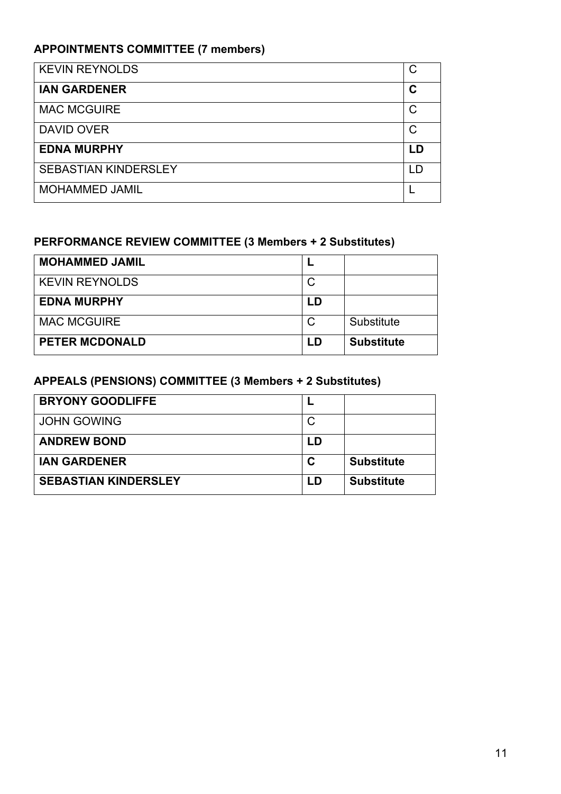# **APPOINTMENTS COMMITTEE (7 members)**

| <b>KEVIN REYNOLDS</b>       | C            |
|-----------------------------|--------------|
| <b>IAN GARDENER</b>         | C            |
| <b>MAC MCGUIRE</b>          | C            |
| <b>DAVID OVER</b>           | $\mathsf{C}$ |
| <b>EDNA MURPHY</b>          | I D          |
| <b>SEBASTIAN KINDERSLEY</b> | I D          |
| <b>MOHAMMED JAMIL</b>       |              |

## **PERFORMANCE REVIEW COMMITTEE (3 Members + 2 Substitutes)**

| <b>MOHAMMED JAMIL</b> |    |                   |
|-----------------------|----|-------------------|
| <b>KEVIN REYNOLDS</b> |    |                   |
| <b>EDNA MURPHY</b>    | LD |                   |
| <b>MAC MCGUIRE</b>    |    | Substitute        |
| <b>PETER MCDONALD</b> | LD | <b>Substitute</b> |

# **APPEALS (PENSIONS) COMMITTEE (3 Members + 2 Substitutes)**

| <b>BRYONY GOODLIFFE</b>     |     |                   |
|-----------------------------|-----|-------------------|
| <b>JOHN GOWING</b>          | С   |                   |
| <b>ANDREW BOND</b>          | ח ו |                   |
| <b>IAN GARDENER</b>         | C   | <b>Substitute</b> |
| <b>SEBASTIAN KINDERSLEY</b> | ח ו | <b>Substitute</b> |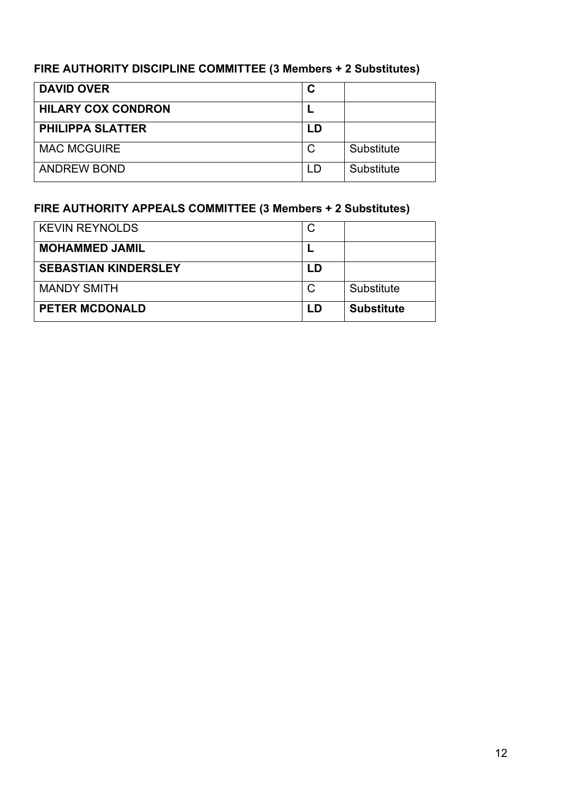# **FIRE AUTHORITY DISCIPLINE COMMITTEE (3 Members + 2 Substitutes)**

| <b>DAVID OVER</b>         |     |            |
|---------------------------|-----|------------|
| <b>HILARY COX CONDRON</b> |     |            |
| <b>PHILIPPA SLATTER</b>   | LD  |            |
| <b>MAC MCGUIRE</b>        |     | Substitute |
| <b>ANDREW BOND</b>        | I D | Substitute |

# **FIRE AUTHORITY APPEALS COMMITTEE (3 Members + 2 Substitutes)**

| <b>KEVIN REYNOLDS</b>       |     |                   |
|-----------------------------|-----|-------------------|
| <b>MOHAMMED JAMIL</b>       |     |                   |
| <b>SEBASTIAN KINDERSLEY</b> | LD  |                   |
| <b>MANDY SMITH</b>          |     | Substitute        |
| <b>PETER MCDONALD</b>       | ם ו | <b>Substitute</b> |